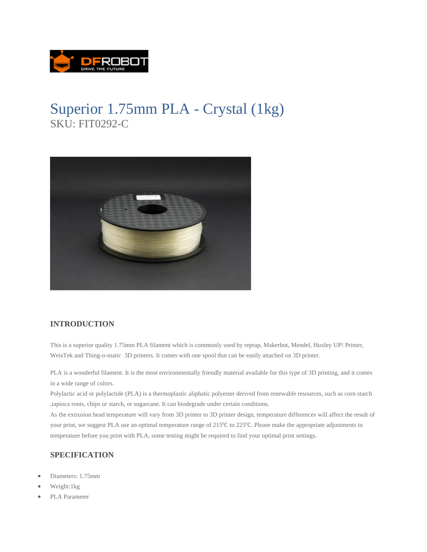

## Superior 1.75mm PLA - Crystal (1kg) SKU: FIT0292-C



## **INTRODUCTION**

This is a superior quality 1.75mm PLA filament which is commonly used by reprap, Makerbot, Mendel, Huxley UP! Printer, WeisTek and Thing-o-matic 3D printers. It comes with one spool that can be easily attached on 3D printer.

PLA is a wonderful filament. It is the most environmentally friendly material available for this type of 3D printing, and it comes in a wide range of colors.

Polylactic acid or polylactide (PLA) is a thermoplastic aliphatic polyester derived from renewable resources, such as corn starch ,tapioca roots, chips or starch, or sugarcane. It can biodegrade under certain conditions.

As the extrusion head temperature will vary from 3D printer to 3D printer design, temperature differences will affect the result of your print, we suggest PLA use an optimal temperature range of 215°C to 225°C. Please make the appropriate adjustments to temperature before you print with PLA, some testing might be required to find your optimal print settings.

## **SPECIFICATION**

- Diameters: 1.75mm
- Weight:1kg
- PLA Parameter